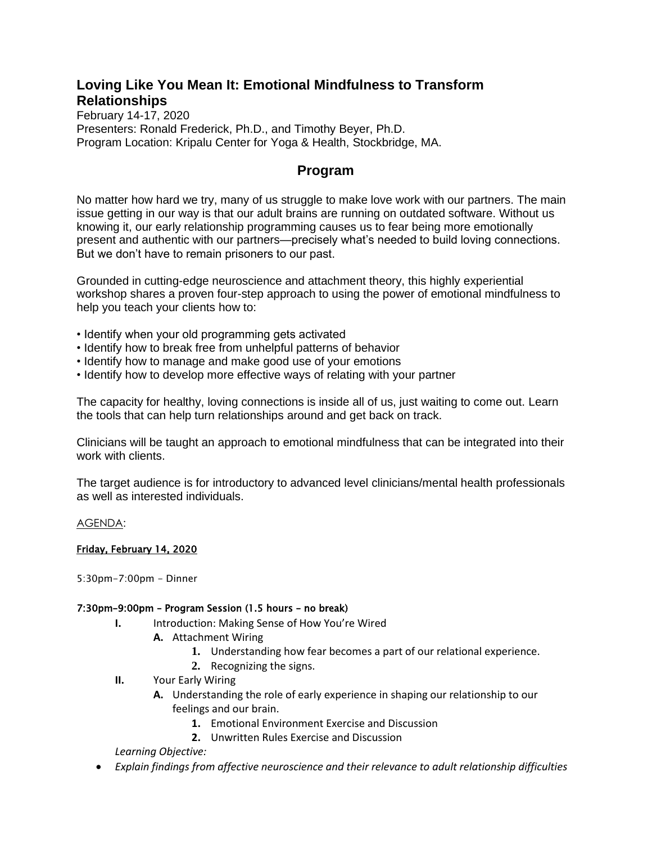## **Loving Like You Mean It: Emotional Mindfulness to Transform Relationships**

February 14-17, 2020 Presenters: Ronald Frederick, Ph.D., and Timothy Beyer, Ph.D. Program Location: Kripalu Center for Yoga & Health, Stockbridge, MA.

## **Program**

No matter how hard we try, many of us struggle to make love work with our partners. The main issue getting in our way is that our adult brains are running on outdated software. Without us knowing it, our early relationship programming causes us to fear being more emotionally present and authentic with our partners—precisely what's needed to build loving connections. But we don't have to remain prisoners to our past.

Grounded in cutting-edge neuroscience and attachment theory, this highly experiential workshop shares a proven four-step approach to using the power of emotional mindfulness to help you teach your clients how to:

- Identify when your old programming gets activated
- Identify how to break free from unhelpful patterns of behavior
- Identify how to manage and make good use of your emotions
- Identify how to develop more effective ways of relating with your partner

The capacity for healthy, loving connections is inside all of us, just waiting to come out. Learn the tools that can help turn relationships around and get back on track.

Clinicians will be taught an approach to emotional mindfulness that can be integrated into their work with clients.

The target audience is for introductory to advanced level clinicians/mental health professionals as well as interested individuals.

#### AGENDA:

#### Friday, February 14, 2020

5:30pm-7:00pm - Dinner

#### 7:30pm–9:00pm – Program Session (1.5 hours – no break)

- **I.** Introduction: Making Sense of How You're Wired
	- **A.** Attachment Wiring
		- **1.** Understanding how fear becomes a part of our relational experience.
		- **2.** Recognizing the signs.
- **II.** Your Early Wiring
	- **A.** Understanding the role of early experience in shaping our relationship to our feelings and our brain.
		- **1.** Emotional Environment Exercise and Discussion
		- **2.** Unwritten Rules Exercise and Discussion

*Learning Objective:*

• *Explain findings from affective neuroscience and their relevance to adult relationship difficulties*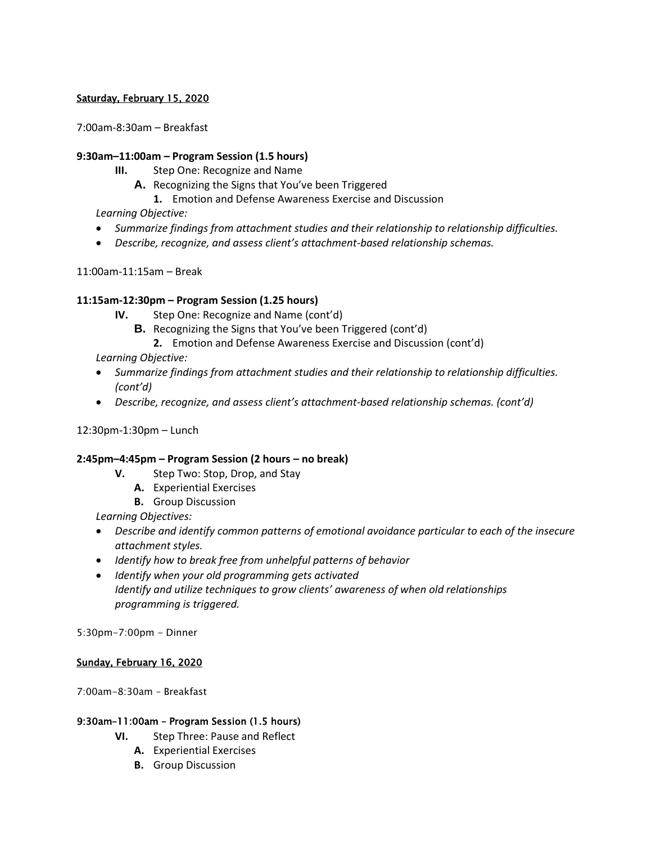### Saturday, February 15, 2020

7:00am-8:30am – Breakfast

#### **9:30am–11:00am – Program Session (1.5 hours)**

- **III.** Step One: Recognize and Name
	- **A.** Recognizing the Signs that You've been Triggered
		- **1.** Emotion and Defense Awareness Exercise and Discussion

## *Learning Objective:*

- *Summarize findings from attachment studies and their relationship to relationship difficulties.*
- *Describe, recognize, and assess client's attachment-based relationship schemas.*

11:00am-11:15am – Break

### **11:15am-12:30pm – Program Session (1.25 hours)**

- **IV.** Step One: Recognize and Name (cont'd)
	- **B.** Recognizing the Signs that You've been Triggered (cont'd)
		- **2.** Emotion and Defense Awareness Exercise and Discussion (cont'd)

## *Learning Objective:*

- *Summarize findings from attachment studies and their relationship to relationship difficulties. (cont'd)*
- *Describe, recognize, and assess client's attachment-based relationship schemas. (cont'd)*

#### 12:30pm-1:30pm – Lunch

## **2:45pm–4:45pm – Program Session (2 hours – no break)**

- **V.** Step Two: Stop, Drop, and Stay
	- **A.** Experiential Exercises
	- **B.** Group Discussion

*Learning Objectives:*

- *Describe and identify common patterns of emotional avoidance particular to each of the insecure attachment styles.*
- *Identify how to break free from unhelpful patterns of behavior*
- *Identify when your old programming gets activated Identify and utilize techniques to grow clients' awareness of when old relationships programming is triggered.*

5:30pm-7:00pm - Dinner

#### Sunday, February 16, 2020

7:00am-8:30am – Breakfast

#### 9:30am–11:00am – Program Session (1.5 hours)

- **VI.** Step Three: Pause and Reflect
	- **A.** Experiential Exercises
	- **B.** Group Discussion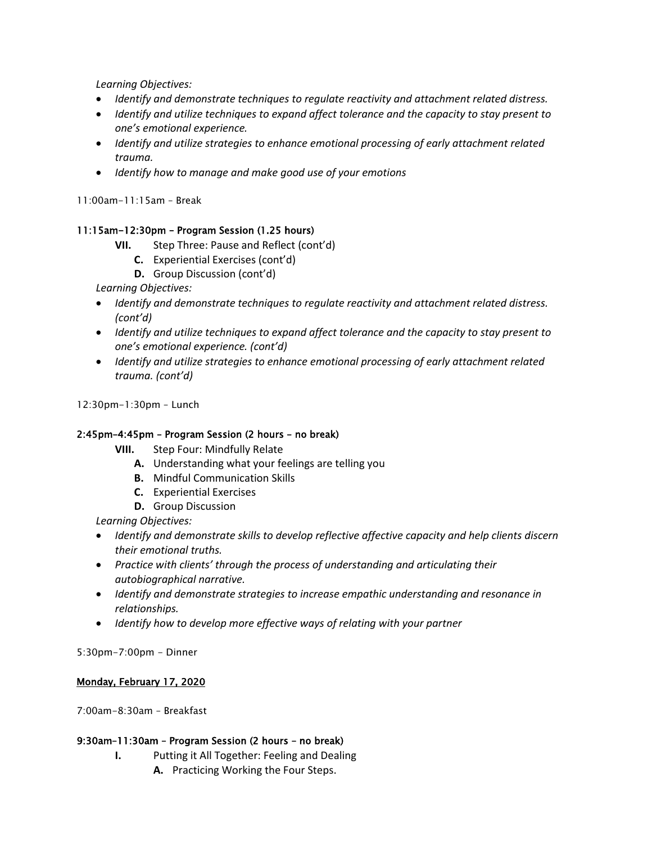*Learning Objectives:*

- *Identify and demonstrate techniques to regulate reactivity and attachment related distress.*
- *Identify and utilize techniques to expand affect tolerance and the capacity to stay present to one's emotional experience.*
- *Identify and utilize strategies to enhance emotional processing of early attachment related trauma.*
- *Identify how to manage and make good use of your emotions*

11:00am-11:15am – Break

#### 11:15am-12:30pm – Program Session (1.25 hours)

- **VII.** Step Three: Pause and Reflect (cont'd)
	- **C.** Experiential Exercises (cont'd)
	- **D.** Group Discussion (cont'd)

*Learning Objectives:*

- *Identify and demonstrate techniques to regulate reactivity and attachment related distress. (cont'd)*
- *Identify and utilize techniques to expand affect tolerance and the capacity to stay present to one's emotional experience. (cont'd)*
- *Identify and utilize strategies to enhance emotional processing of early attachment related trauma. (cont'd)*

12:30pm-1:30pm – Lunch

#### 2:45pm–4:45pm – Program Session (2 hours – no break)

- **VIII.** Step Four: Mindfully Relate
	- **A.** Understanding what your feelings are telling you
	- **B.** Mindful Communication Skills
	- **C.** Experiential Exercises
	- **D.** Group Discussion

*Learning Objectives:*

- *Identify and demonstrate skills to develop reflective affective capacity and help clients discern their emotional truths.*
- *Practice with clients' through the process of understanding and articulating their autobiographical narrative.*
- *Identify and demonstrate strategies to increase empathic understanding and resonance in relationships.*
- *Identify how to develop more effective ways of relating with your partner*

5:30pm-7:00pm - Dinner

#### Monday, February 17, 2020

7:00am-8:30am – Breakfast

#### 9:30am–11:30am – Program Session (2 hours – no break)

- **I.** Putting it All Together: Feeling and Dealing
	- **A.** Practicing Working the Four Steps.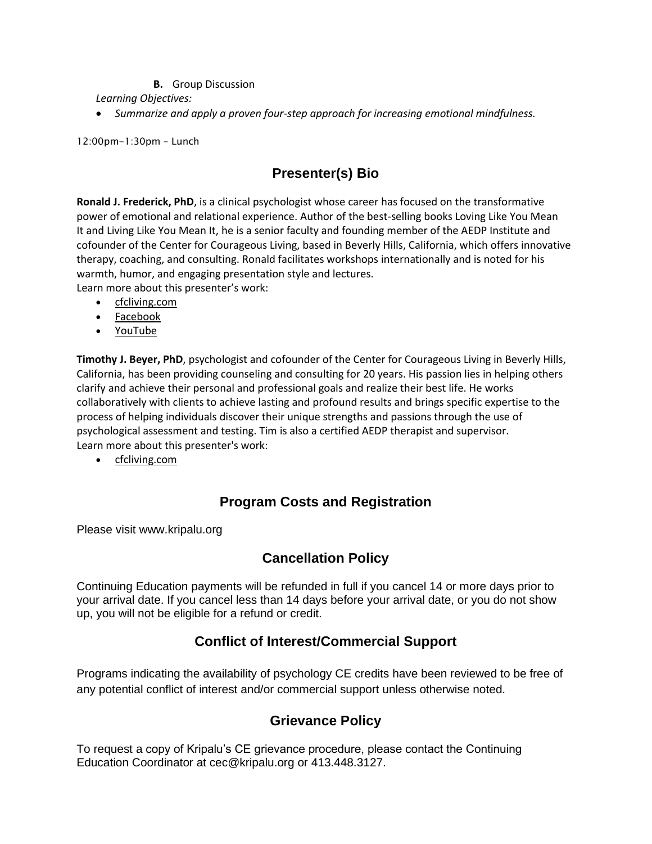### **B.** Group Discussion

*Learning Objectives:*

• *Summarize and apply a proven four-step approach for increasing emotional mindfulness.*

12:00pm-1:30pm – Lunch

## **Presenter(s) Bio**

**Ronald J. Frederick, PhD**, is a clinical psychologist whose career has focused on the transformative power of emotional and relational experience. Author of the best-selling books Loving Like You Mean It and Living Like You Mean It, he is a senior faculty and founding member of the AEDP Institute and cofounder of the Center for Courageous Living, based in Beverly Hills, California, which offers innovative therapy, coaching, and consulting. Ronald facilitates workshops internationally and is noted for his warmth, humor, and engaging presentation style and lectures.

Learn more about this presenter's work:

- [cfcliving.com](http://www.cfcliving.com/)
- [Facebook](https://www.facebook.com/CFCLiving/)
- [YouTube](https://www.youtube.com/channel/UC0lI-n0XNf_-s4ol5VfSViA/)

**Timothy J. Beyer, PhD**, psychologist and cofounder of the Center for Courageous Living in Beverly Hills, California, has been providing counseling and consulting for 20 years. His passion lies in helping others clarify and achieve their personal and professional goals and realize their best life. He works collaboratively with clients to achieve lasting and profound results and brings specific expertise to the process of helping individuals discover their unique strengths and passions through the use of psychological assessment and testing. Tim is also a certified AEDP therapist and supervisor. Learn more about this presenter's work:

• [cfcliving.com](http://cfcliving.com/)

# **Program Costs and Registration**

Please visit www.kripalu.org

# **Cancellation Policy**

Continuing Education payments will be refunded in full if you cancel 14 or more days prior to your arrival date. If you cancel less than 14 days before your arrival date, or you do not show up, you will not be eligible for a refund or credit.

# **Conflict of Interest/Commercial Support**

Programs indicating the availability of psychology CE credits have been reviewed to be free of any potential conflict of interest and/or commercial support unless otherwise noted.

## **Grievance Policy**

To request a copy of Kripalu's CE grievance procedure, please contact the Continuing Education Coordinator at [cec@kripalu.org](mailto:cec@kripalu.org) or 413.448.3127.